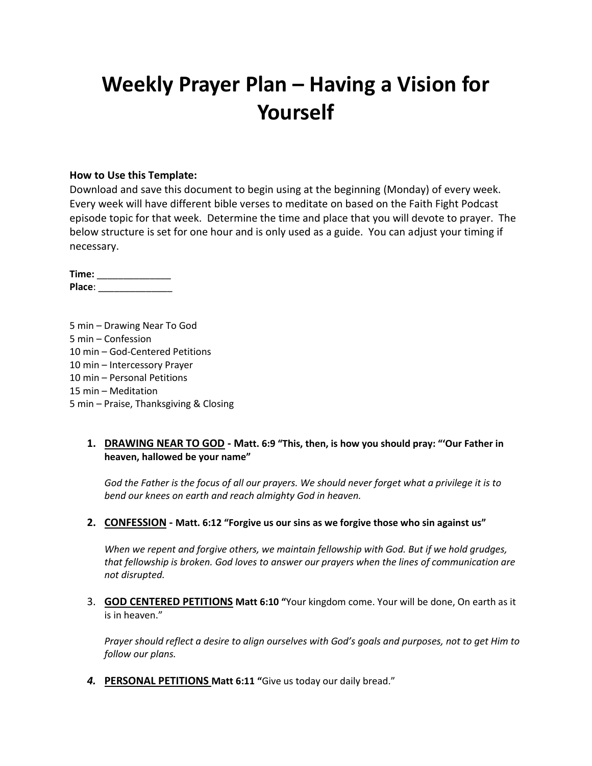# **Weekly Prayer Plan – Having a Vision for Yourself**

#### **How to Use this Template:**

Download and save this document to begin using at the beginning (Monday) of every week. Every week will have different bible verses to meditate on based on the Faith Fight Podcast episode topic for that week. Determine the time and place that you will devote to prayer. The below structure is set for one hour and is only used as a guide. You can adjust your timing if necessary.

**Time:** \_\_\_\_\_\_\_\_\_\_\_\_\_\_ **Place**: \_\_\_\_\_\_\_\_\_\_\_\_\_\_

5 min – Drawing Near To God 5 min – Confession 10 min – God-Centered Petitions 10 min – Intercessory Prayer 10 min – Personal Petitions 15 min – Meditation 5 min – Praise, Thanksgiving & Closing

#### **1. DRAWING NEAR TO GOD - Matt. 6:9 "This, then, is how you should pray: "'Our Father in heaven, hallowed be your name"**

*God the Father is the focus of all our prayers. We should never forget what a privilege it is to bend our knees on earth and reach almighty God in heaven.*

#### **2. CONFESSION - Matt. 6:12 "Forgive us our sins as we forgive those who sin against us"**

*When we repent and forgive others, we maintain fellowship with God. But if we hold grudges, that fellowship is broken. God loves to answer our prayers when the lines of communication are not disrupted.*

3. **GOD CENTERED PETITIONS Matt 6:10 "**Your kingdom come. Your will be done, On earth as it is in heaven."

*Prayer should reflect a desire to align ourselves with God's goals and purposes, not to get Him to follow our plans.*

*4.* **PERSONAL PETITIONS Matt 6:11 "**Give us today our daily bread."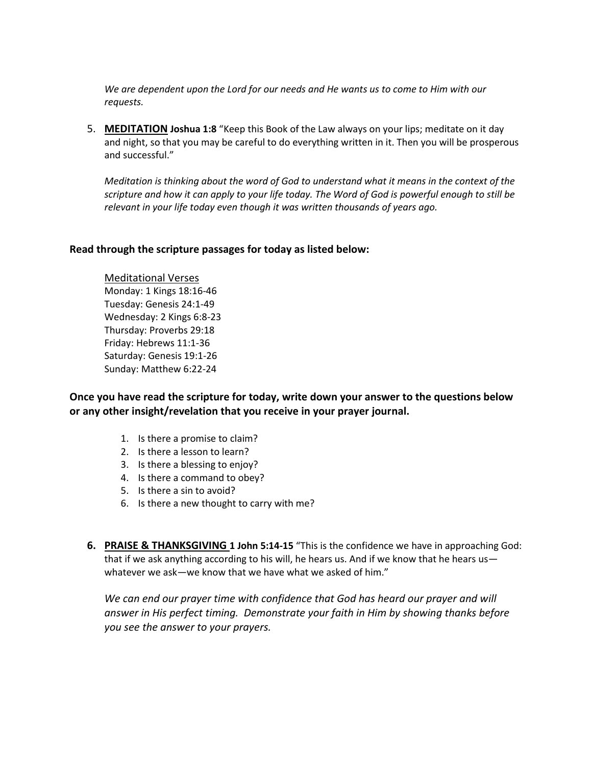*We are dependent upon the Lord for our needs and He wants us to come to Him with our requests.*

5. **MEDITATION Joshua 1:8** "Keep this Book of the Law always on your lips; meditate on it day and night, so that you may be careful to do everything written in it. Then you will be prosperous and successful."

*Meditation is thinking about the word of God to understand what it means in the context of the scripture and how it can apply to your life today. The Word of God is powerful enough to still be relevant in your life today even though it was written thousands of years ago.*

#### **Read through the scripture passages for today as listed below:**

Meditational Verses Monday: 1 Kings 18:16-46 Tuesday: Genesis 24:1-49 Wednesday: 2 Kings 6:8-23 Thursday: Proverbs 29:18 Friday: Hebrews 11:1-36 Saturday: Genesis 19:1-26 Sunday: Matthew 6:22-24

**Once you have read the scripture for today, write down your answer to the questions below or any other insight/revelation that you receive in your prayer journal.** 

- 1. Is there a promise to claim?
- 2. Is there a lesson to learn?
- 3. Is there a blessing to enjoy?
- 4. Is there a command to obey?
- 5. Is there a sin to avoid?
- 6. Is there a new thought to carry with me?
- **6. PRAISE & THANKSGIVING 1 John 5:14-15** "This is the confidence we have in approaching God: that if we ask anything according to his will, he hears us. And if we know that he hears us whatever we ask—we know that we have what we asked of him."

*We can end our prayer time with confidence that God has heard our prayer and will answer in His perfect timing. Demonstrate your faith in Him by showing thanks before you see the answer to your prayers.*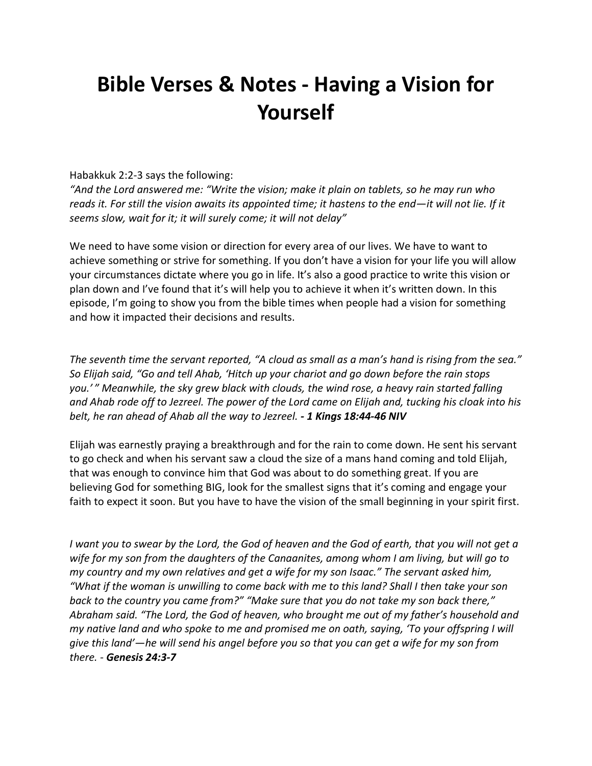## **Bible Verses & Notes - Having a Vision for Yourself**

#### Habakkuk 2:2-3 says the following:

*"And the Lord answered me: "Write the vision; make it plain on tablets, so he may run who reads it. For still the vision awaits its appointed time; it hastens to the end—it will not lie. If it seems slow, wait for it; it will surely come; it will not delay"*

We need to have some vision or direction for every area of our lives. We have to want to achieve something or strive for something. If you don't have a vision for your life you will allow your circumstances dictate where you go in life. It's also a good practice to write this vision or plan down and I've found that it's will help you to achieve it when it's written down. In this episode, I'm going to show you from the bible times when people had a vision for something and how it impacted their decisions and results.

*The seventh time the servant reported, "A cloud as small as a man's hand is rising from the sea." So Elijah said, "Go and tell Ahab, 'Hitch up your chariot and go down before the rain stops you.' " Meanwhile, the sky grew black with clouds, the wind rose, a heavy rain started falling and Ahab rode off to Jezreel. The power of the Lord came on Elijah and, tucking his cloak into his belt, he ran ahead of Ahab all the way to Jezreel. - 1 Kings 18:44-46 NIV*

Elijah was earnestly praying a breakthrough and for the rain to come down. He sent his servant to go check and when his servant saw a cloud the size of a mans hand coming and told Elijah, that was enough to convince him that God was about to do something great. If you are believing God for something BIG, look for the smallest signs that it's coming and engage your faith to expect it soon. But you have to have the vision of the small beginning in your spirit first.

*I want you to swear by the Lord, the God of heaven and the God of earth, that you will not get a wife for my son from the daughters of the Canaanites, among whom I am living, but will go to my country and my own relatives and get a wife for my son Isaac." The servant asked him, "What if the woman is unwilling to come back with me to this land? Shall I then take your son back to the country you came from?" "Make sure that you do not take my son back there," Abraham said. "The Lord, the God of heaven, who brought me out of my father's household and my native land and who spoke to me and promised me on oath, saying, 'To your offspring I will give this land'—he will send his angel before you so that you can get a wife for my son from there. - Genesis 24:3-7*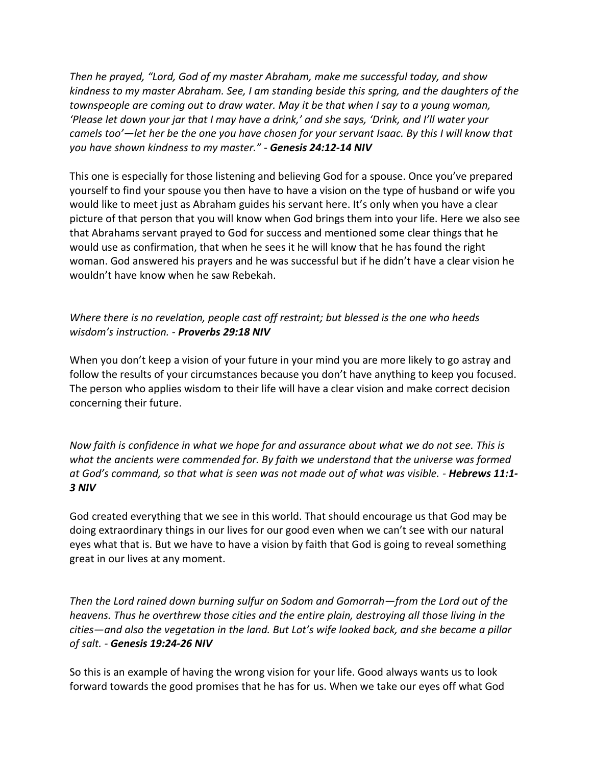*Then he prayed, "Lord, God of my master Abraham, make me successful today, and show kindness to my master Abraham. See, I am standing beside this spring, and the daughters of the townspeople are coming out to draw water. May it be that when I say to a young woman, 'Please let down your jar that I may have a drink,' and she says, 'Drink, and I'll water your camels too'—let her be the one you have chosen for your servant Isaac. By this I will know that you have shown kindness to my master." - Genesis 24:12-14 NIV*

This one is especially for those listening and believing God for a spouse. Once you've prepared yourself to find your spouse you then have to have a vision on the type of husband or wife you would like to meet just as Abraham guides his servant here. It's only when you have a clear picture of that person that you will know when God brings them into your life. Here we also see that Abrahams servant prayed to God for success and mentioned some clear things that he would use as confirmation, that when he sees it he will know that he has found the right woman. God answered his prayers and he was successful but if he didn't have a clear vision he wouldn't have know when he saw Rebekah.

### *Where there is no revelation, people cast off restraint; but blessed is the one who heeds wisdom's instruction. - Proverbs 29:18 NIV*

When you don't keep a vision of your future in your mind you are more likely to go astray and follow the results of your circumstances because you don't have anything to keep you focused. The person who applies wisdom to their life will have a clear vision and make correct decision concerning their future.

*Now faith is confidence in what we hope for and assurance about what we do not see. This is what the ancients were commended for. By faith we understand that the universe was formed at God's command, so that what is seen was not made out of what was visible. - Hebrews 11:1- 3 NIV*

God created everything that we see in this world. That should encourage us that God may be doing extraordinary things in our lives for our good even when we can't see with our natural eyes what that is. But we have to have a vision by faith that God is going to reveal something great in our lives at any moment.

*Then the Lord rained down burning sulfur on Sodom and Gomorrah—from the Lord out of the heavens. Thus he overthrew those cities and the entire plain, destroying all those living in the cities—and also the vegetation in the land. But Lot's wife looked back, and she became a pillar of salt. - Genesis 19:24-26 NIV*

So this is an example of having the wrong vision for your life. Good always wants us to look forward towards the good promises that he has for us. When we take our eyes off what God